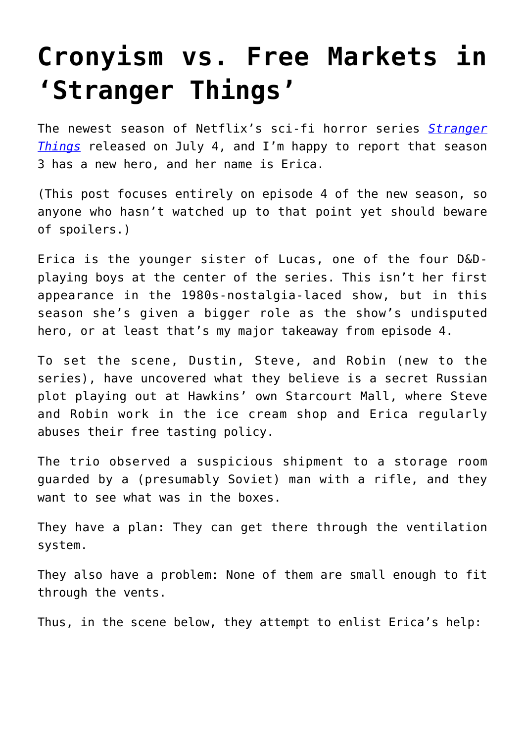## **[Cronyism vs. Free Markets in](https://intellectualtakeout.org/2019/07/cronyism-vs-free-markets-in-stranger-things/) ['Stranger Things'](https://intellectualtakeout.org/2019/07/cronyism-vs-free-markets-in-stranger-things/)**

The newest season of Netflix's sci-fi horror series *[Stranger](https://www.imdb.com/title/tt4574334/) [Things](https://www.imdb.com/title/tt4574334/)* released on July 4, and I'm happy to report that season 3 has a new hero, and her name is Erica.

(This post focuses entirely on episode 4 of the new season, so anyone who hasn't watched up to that point yet should beware of spoilers.)

Erica is the younger sister of Lucas, one of the four D&Dplaying boys at the center of the series. This isn't her first appearance in the 1980s-nostalgia-laced show, but in this season she's given a bigger role as the show's undisputed hero, or at least that's my major takeaway from episode 4.

To set the scene, Dustin, Steve, and Robin (new to the series), have uncovered what they believe is a secret Russian plot playing out at Hawkins' own Starcourt Mall, where Steve and Robin work in the ice cream shop and Erica regularly abuses their free tasting policy.

The trio observed a suspicious shipment to a storage room guarded by a (presumably Soviet) man with a rifle, and they want to see what was in the boxes.

They have a plan: They can get there through the ventilation system.

They also have a problem: None of them are small enough to fit through the vents.

Thus, in the scene below, they attempt to enlist Erica's help: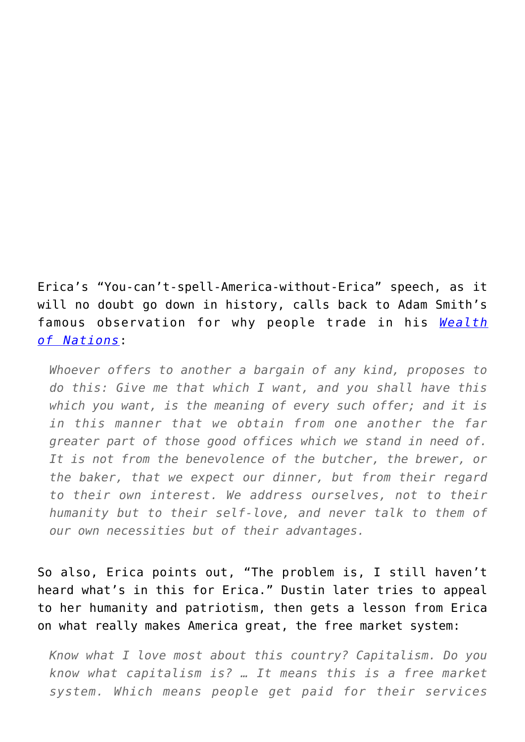Erica's "You-can't-spell-America-without-Erica" speech, as it will no doubt go down in history, calls back to Adam Smith's famous observation for why people trade in his *[Wealth](https://oll.libertyfund.org/titles/237#lf0206-01_footnote_nt140_ref) [of](https://oll.libertyfund.org/titles/237#lf0206-01_footnote_nt140_ref) [Nations](https://oll.libertyfund.org/titles/237#lf0206-01_footnote_nt140_ref)*:

*Whoever offers to another a bargain of any kind, proposes to do this: Give me that which I want, and you shall have this which you want, is the meaning of every such offer; and it is in this manner that we obtain from one another the far greater part of those good offices which we stand in need of. It is not from the benevolence of the butcher, the brewer, or the baker, that we expect our dinner, but from their regard to their own interest. We address ourselves, not to their humanity but to their self-love, and never talk to them of our own necessities but of their advantages.*

So also, Erica points out, "The problem is, I still haven't heard what's in this for Erica." Dustin later tries to appeal to her humanity and patriotism, then gets a lesson from Erica on what really makes America great, the free market system:

*Know what I love most about this country? Capitalism. Do you know what capitalism is? … It means this is a free market system. Which means people get paid for their services*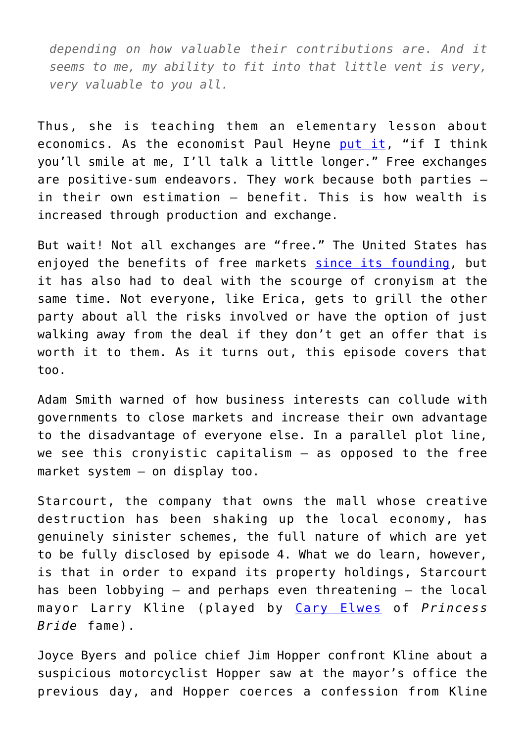*depending on how valuable their contributions are. And it seems to me, my ability to fit into that little vent is very, very valuable to you all.*

Thus, she is teaching them an elementary lesson about economics. As the economist Paul Heyne [put it,](https://oll.libertyfund.org/titles/2228#Heyne_1472_105) "if I think you'll smile at me, I'll talk a little longer." Free exchanges are positive-sum endeavors. They work because both parties in their own estimation — benefit. This is how wealth is increased through production and exchange.

But wait! Not all exchanges are "free." The United States has enjoyed the benefits of free markets [since its founding](https://www.lawliberty.org/2019/07/01/how-america-reconciled-patriotism-and-free-markets/), but it has also had to deal with the scourge of cronyism at the same time. Not everyone, like Erica, gets to grill the other party about all the risks involved or have the option of just walking away from the deal if they don't get an offer that is worth it to them. As it turns out, this episode covers that too.

Adam Smith warned of how business interests can collude with governments to close markets and increase their own advantage to the disadvantage of everyone else. In a parallel plot line, we see this cronyistic capitalism — as opposed to the free market system — on display too.

Starcourt, the company that owns the mall whose creative destruction has been shaking up the local economy, has genuinely sinister schemes, the full nature of which are yet to be fully disclosed by episode 4. What we do learn, however, is that in order to expand its property holdings, Starcourt has been lobbying — and perhaps even threatening — the local mayor Larry Kline (played by [Cary Elwes](https://en.wikipedia.org/wiki/Cary_Elwes) of *Princess Bride* fame).

Joyce Byers and police chief Jim Hopper confront Kline about a suspicious motorcyclist Hopper saw at the mayor's office the previous day, and Hopper coerces a confession from Kline